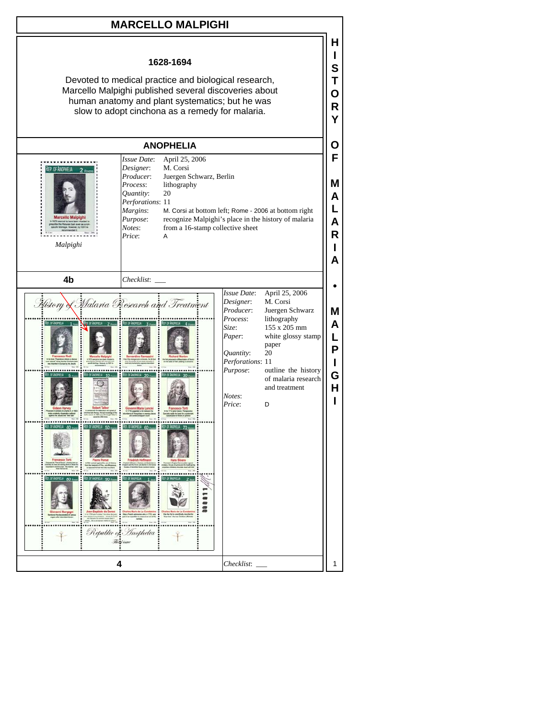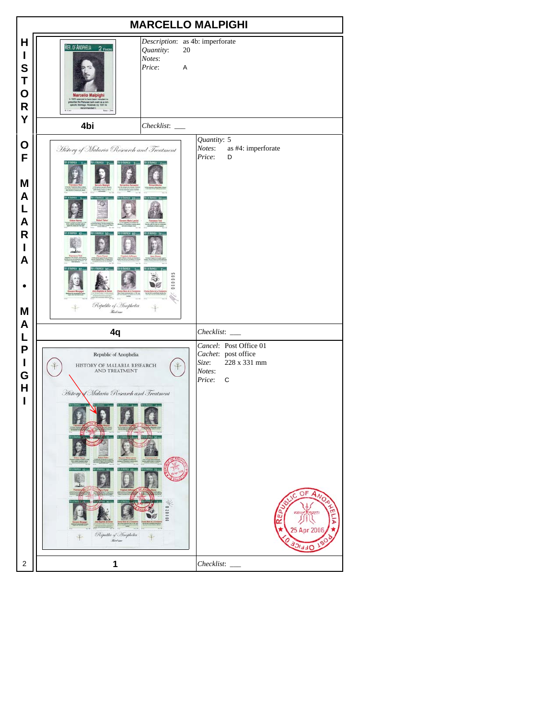| <b>MARCELLO MALPIGHI</b>                            |                                                                                                                                                                                                                                      |                                                                                                                                                  |  |  |  |  |
|-----------------------------------------------------|--------------------------------------------------------------------------------------------------------------------------------------------------------------------------------------------------------------------------------------|--------------------------------------------------------------------------------------------------------------------------------------------------|--|--|--|--|
| H<br>I<br>S<br>T<br>$\mathbf O$<br>$\mathsf R$<br>Y | REP. OF ANOPHELIA<br>2 FEVERS<br>Quantity:<br>20<br>Notes:<br>Price:<br>A<br><b>Marcello Malpighi</b><br>1679 seemed to have been relation<br>scribe the Penyvian bark even as a r<br>pecific hitehape. However, by 16911<br>3091 Fe | Description: as 4b: imperforate                                                                                                                  |  |  |  |  |
|                                                     | 4bi<br>$Checklist:$ $\_\_$                                                                                                                                                                                                           |                                                                                                                                                  |  |  |  |  |
| O<br>F<br>M<br>A<br>L<br>A<br>R<br>ı<br>A<br>M      | History of Malaria Research and Treatment<br>000000<br>Republic of Anophelia<br><b>Real issue</b>                                                                                                                                    | Quantity: 5<br>Notes:<br>as #4: imperforate<br>Price:<br>D                                                                                       |  |  |  |  |
| A                                                   | 4q                                                                                                                                                                                                                                   | Checklist:                                                                                                                                       |  |  |  |  |
| L<br>P<br>$\mathbf I$<br>G<br>H<br>ı                | Republic of Anophelia<br>HISTORY OF MALARIA RESEARCH<br>AND TREATMENT<br>History Malaria Research and Treatment<br>1000Z0<br>Republic of Inopholia<br>History                                                                        | Cancel: Post Office 01<br>Cachet: post office<br>228 x 331 mm<br>Size:<br>Notes:<br>Price:<br>$\mathbf C$<br>OF<br>Ċ<br>25 Apr 200<br><b>ARC</b> |  |  |  |  |
| 2                                                   | 1                                                                                                                                                                                                                                    | Checklist:                                                                                                                                       |  |  |  |  |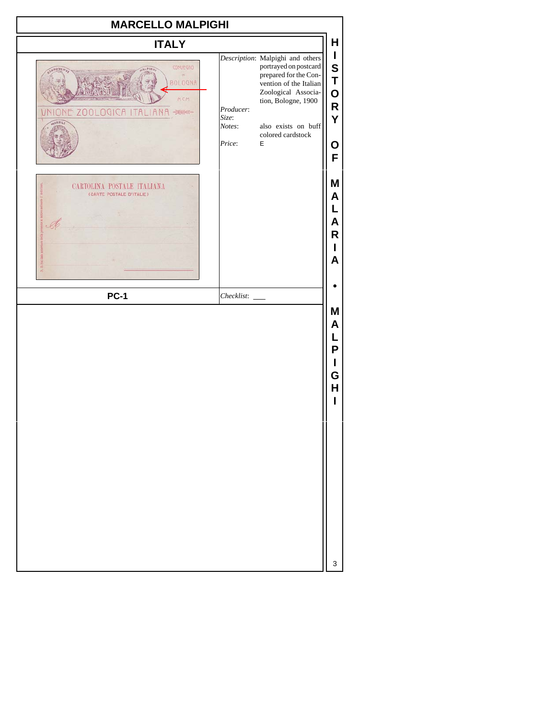| <b>MARCELLO MALPIGHI</b>                                                                |                                        |                                                                                                                                                                                                             |                                                |  |  |
|-----------------------------------------------------------------------------------------|----------------------------------------|-------------------------------------------------------------------------------------------------------------------------------------------------------------------------------------------------------------|------------------------------------------------|--|--|
| <b>ITALY</b>                                                                            |                                        |                                                                                                                                                                                                             | н                                              |  |  |
| CONVEGNO<br>$  \mathbb{N}  $<br><b>BOLOGNA</b><br>MCM<br>VNIONE ZOOLOGICA ITALIA<br>医薬士 | Producer:<br>Size:<br>Notes:<br>Price: | Description: Malpighi and others<br>portrayed on postcard<br>prepared for the Con-<br>vention of the Italian<br>Zoological Associa-<br>tion, Bologne, 1900<br>also exists on buff<br>colored cardstock<br>E | I<br>S<br>T<br>$\mathbf O$<br>R<br>Υ<br>O<br>F |  |  |
| CARTOLINA POSTALE ITALIANA<br>(CARTE POSTALE D'ITALIE)                                  |                                        |                                                                                                                                                                                                             | Μ<br>A<br>A<br>R<br>ı<br>A                     |  |  |
| <b>PC-1</b>                                                                             |                                        |                                                                                                                                                                                                             |                                                |  |  |
|                                                                                         |                                        |                                                                                                                                                                                                             | M<br>A<br>L<br>P<br>ı<br>G<br>н                |  |  |
|                                                                                         |                                        |                                                                                                                                                                                                             | 3                                              |  |  |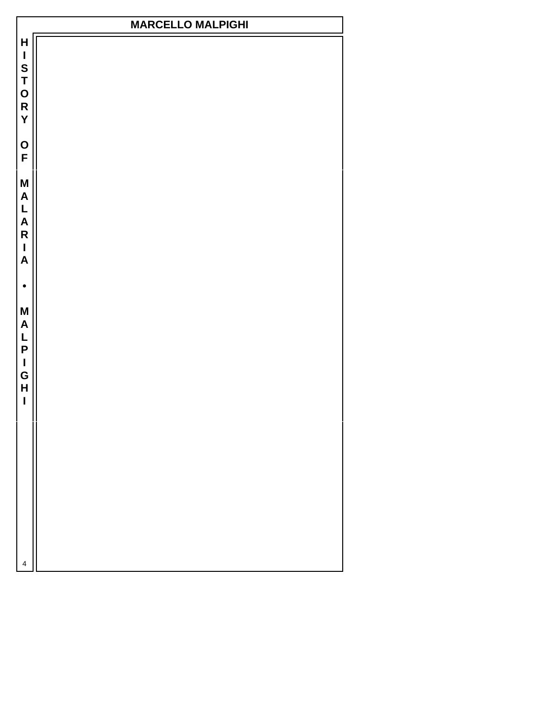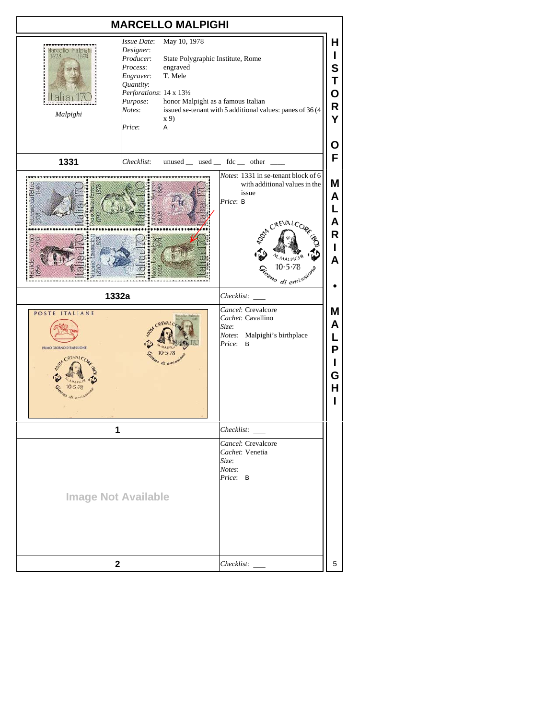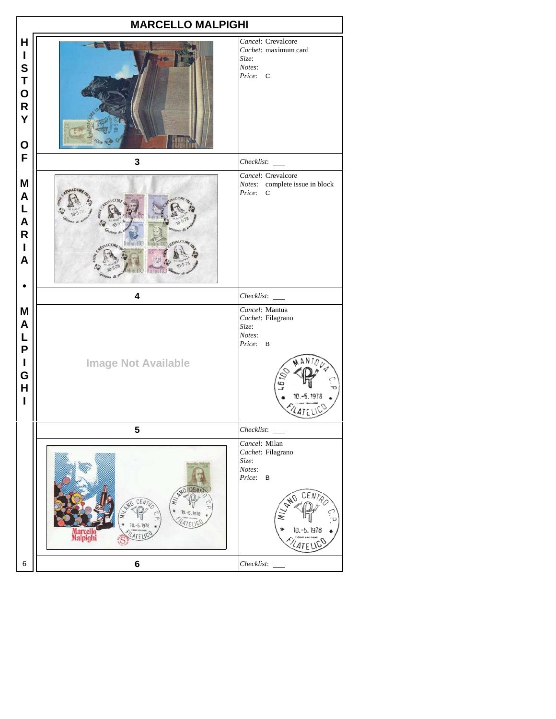|                                                                                 | <b>MARCELLO MALPIGHI</b>                                                                     |                                                                                                              |  |  |  |  |
|---------------------------------------------------------------------------------|----------------------------------------------------------------------------------------------|--------------------------------------------------------------------------------------------------------------|--|--|--|--|
| H<br>$\mathbf{I}$<br>S<br>T<br>O<br>$\overline{\mathsf{R}}$<br>Y<br>$\mathbf 0$ |                                                                                              | Cancel: Crevalcore<br>Cachet: maximum card<br>Size:<br>Notes:<br>Price: C                                    |  |  |  |  |
| F                                                                               | 3                                                                                            | Checklist:                                                                                                   |  |  |  |  |
| M<br>A<br>L<br>$\mathsf{A}$<br>$\mathsf{R}$<br>$\mathbf{I}$<br>A                | Italia: I7O<br><b>Itali</b><br>QE                                                            | Cancel: Crevalcore<br>Notes: complete issue in block<br>Price:<br>C                                          |  |  |  |  |
|                                                                                 | 4                                                                                            | Checklist: ___                                                                                               |  |  |  |  |
| M<br>A<br>L<br>P<br>I<br>G<br>H<br>I                                            | <b>Image Not Available</b>                                                                   | Cancel: Mantua<br>Cachet: Filagrano<br>Size:<br>Notes:<br>Price:<br>B                                        |  |  |  |  |
|                                                                                 | 5                                                                                            |                                                                                                              |  |  |  |  |
|                                                                                 | NO ICEM<br>NO CEN<br>$10.-5.1978$<br>LATE<br>$10,-5.1976$<br>Marcello<br>Malpighi<br>LATELIC | Cancel: Milan<br>Cachet: Filagrano<br>Size:<br>Notes:<br>Price:<br>$\, {\bf B}$<br>CEN<br>04<br>10. - 5.1978 |  |  |  |  |
| 6                                                                               | 6                                                                                            |                                                                                                              |  |  |  |  |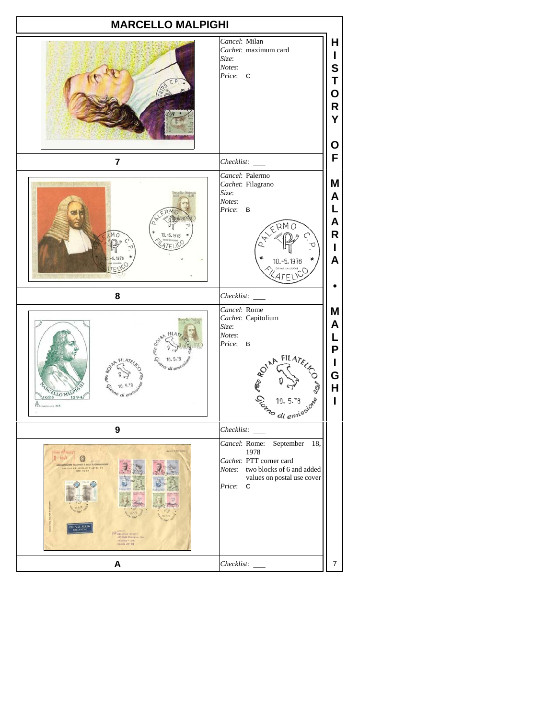| <b>MARCELLO MALPIGHI</b>                                                                                                                                                                                      |                                                                                                                                                                 |                                                              |  |  |
|---------------------------------------------------------------------------------------------------------------------------------------------------------------------------------------------------------------|-----------------------------------------------------------------------------------------------------------------------------------------------------------------|--------------------------------------------------------------|--|--|
|                                                                                                                                                                                                               | Cancel: Milan<br>Cachet: maximum card<br>Size:<br>Notes:<br>Price:<br>C                                                                                         | H<br>L<br>S<br>Т<br>O<br>R<br>Y<br>О                         |  |  |
| $\overline{\mathbf{r}}$                                                                                                                                                                                       | Checklist:                                                                                                                                                      | F                                                            |  |  |
| M <sub>c</sub>                                                                                                                                                                                                | Cancel: Palermo<br>Cachet: Filagrano<br>Size:<br>Notes:<br>Price: B<br>ERMO<br>10. - 5.1978                                                                     | Μ<br>A<br>L<br>A<br>R<br>L<br>A                              |  |  |
| 8                                                                                                                                                                                                             | Checklist: _____                                                                                                                                                |                                                              |  |  |
| di el<br>ELLO NA<br>628<br>169<br>348                                                                                                                                                                         | Cancel: Rome<br>Cachet: Capitolium<br>Size:<br>Notes:<br>Price:<br>B<br>Contra FILATEICO                                                                        | Μ<br>A<br>L<br>$\boldsymbol{\mathsf{P}}$<br>L<br>G<br>H<br>I |  |  |
| $\boldsymbol{9}$                                                                                                                                                                                              | Checklist: _____                                                                                                                                                |                                                              |  |  |
| <b>COLOR OF GLACIE</b><br>$R = 1011$<br>AMENGERATIONS BILLS POSTE & DELLY TELECOMONICAZIO<br>SPECIE PRINCIPALE FILATELICO<br>$111 - 2$<br><b>143 Barr Cistresse</b><br>21. Januar - Santa<br>Shinin (201. 120 | September<br>Cancel: Rome:<br>18,<br>1978<br>Cachet: PTT corner card<br>Notes: two blocks of 6 and added<br>values on postal use cover<br>Price:<br>$\mathbf C$ |                                                              |  |  |
| A                                                                                                                                                                                                             | Checklist:                                                                                                                                                      | $\overline{7}$                                               |  |  |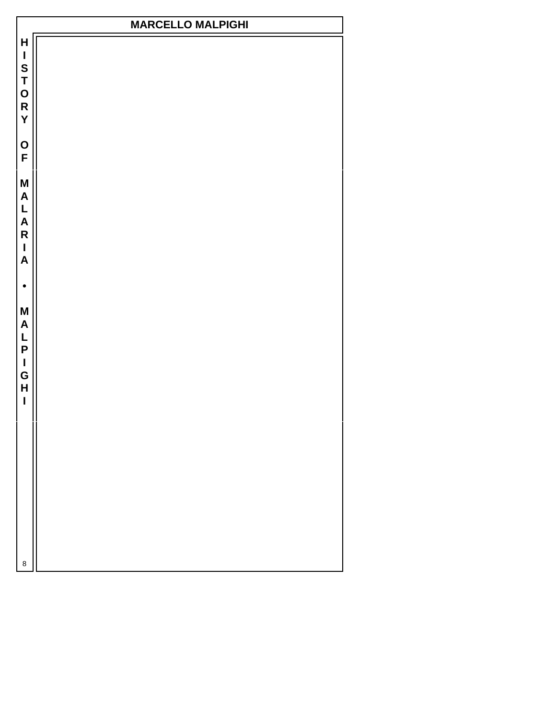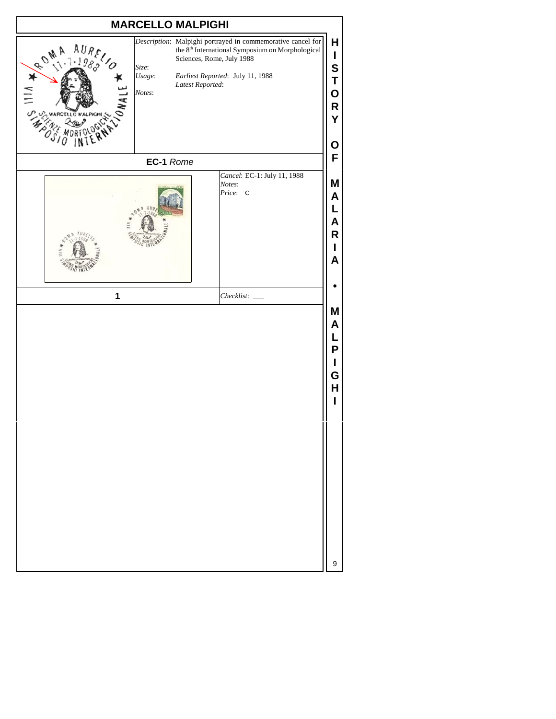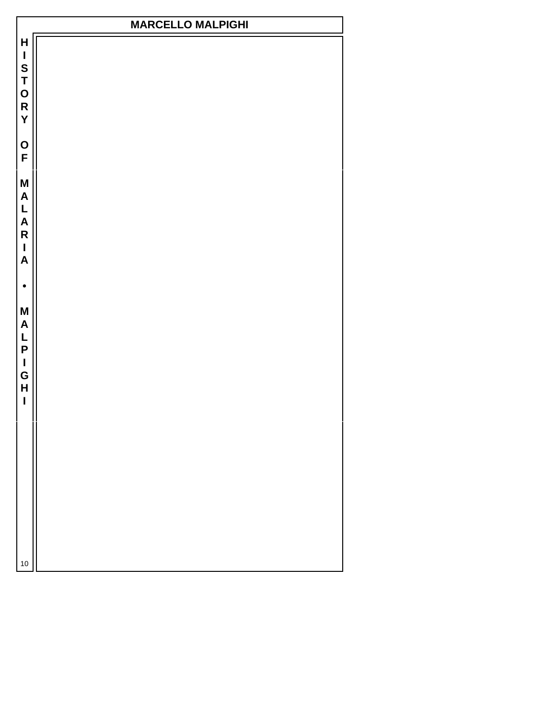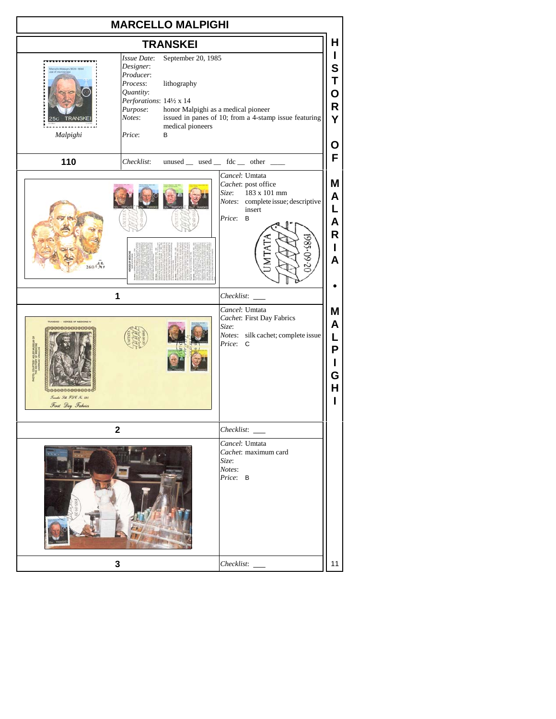